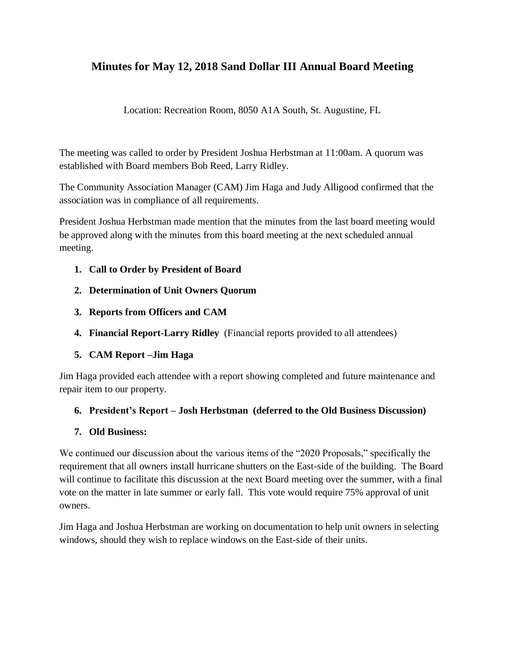## **Minutes for May 12, 2018 Sand Dollar III Annual Board Meeting**

Location: Recreation Room, 8050 A1A South, St. Augustine, FL

The meeting was called to order by President Joshua Herbstman at 11:00am. A quorum was established with Board members Bob Reed, Larry Ridley.

The Community Association Manager (CAM) Jim Haga and Judy Alligood confirmed that the association was in compliance of all requirements.

President Joshua Herbstman made mention that the minutes from the last board meeting would be approved along with the minutes from this board meeting at the next scheduled annual meeting.

- **1. Call to Order by President of Board**
- **2. Determination of Unit Owners Quorum**
- **3. Reports from Officers and CAM**
- **4. Financial Report-Larry Ridley** (Financial reports provided to all attendees)
- **5. CAM Report –Jim Haga**

Jim Haga provided each attendee with a report showing completed and future maintenance and repair item to our property.

## **6. President's Report – Josh Herbstman (deferred to the Old Business Discussion)**

## **7. Old Business:**

We continued our discussion about the various items of the "2020 Proposals," specifically the requirement that all owners install hurricane shutters on the East-side of the building. The Board will continue to facilitate this discussion at the next Board meeting over the summer, with a final vote on the matter in late summer or early fall. This vote would require 75% approval of unit owners.

Jim Haga and Joshua Herbstman are working on documentation to help unit owners in selecting windows, should they wish to replace windows on the East-side of their units.